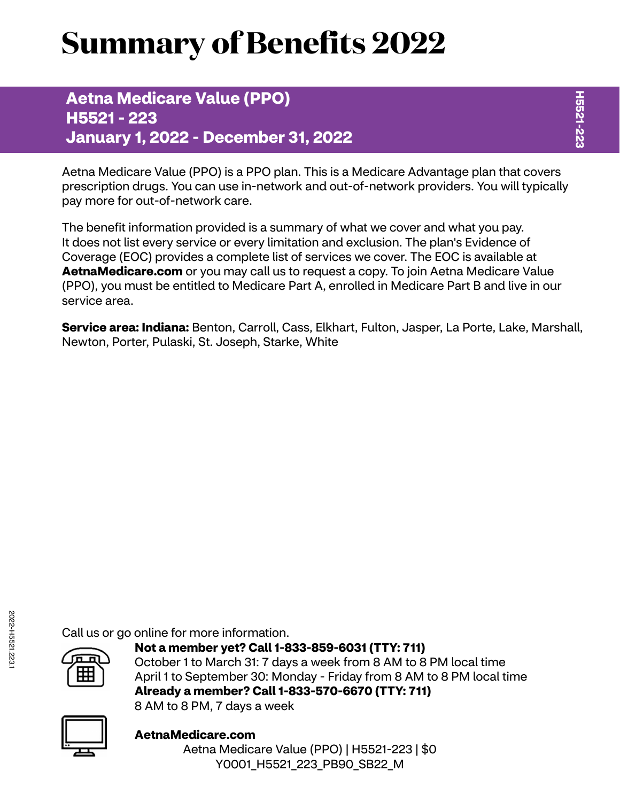# **Summary of Benefits 2022**

**Aetna Medicare Value (PPO) H5521 - 223 January 1, 2022 - December 31, 2022**

Aetna Medicare Value (PPO) is a PPO plan. This is a Medicare Advantage plan that covers prescription drugs. You can use in-network and out-of-network providers. You will typically pay more for out-of-network care.

The benefit information provided is a summary of what we cover and what you pay. It does not list every service or every limitation and exclusion. The plan's Evidence of Coverage (EOC) provides a complete list of services we cover. The EOC is available at **[AetnaMedicare.com](http://AetnaMedicare.com)** or you may call us to request a copy. To join Aetna Medicare Value (PPO), you must be entitled to Medicare Part A, enrolled in Medicare Part B and live in our service area.

**Service area: Indiana:** Benton, Carroll, Cass, Elkhart, Fulton, Jasper, La Porte, Lake, Marshall, Newton, Porter, Pulaski, St. Joseph, Starke, White

Call us or go online for more information.



**Not a member yet? Call 1-833-859-6031 (TTY: 711)** October 1 to March 31: 7 days a week from 8 AM to 8 PM local time April 1 to September 30: Monday - Friday from 8 AM to 8 PM local time **Already a member? Call 1-833-570-6670 (TTY: 711)** 8 AM to 8 PM, 7 days a week



**[AetnaMedicare.com](http://AetnaMedicare.com)** Aetna Medicare Value (PPO) | H5521-223 | \$0 Y0001\_H5521\_223\_PB90\_SB22\_M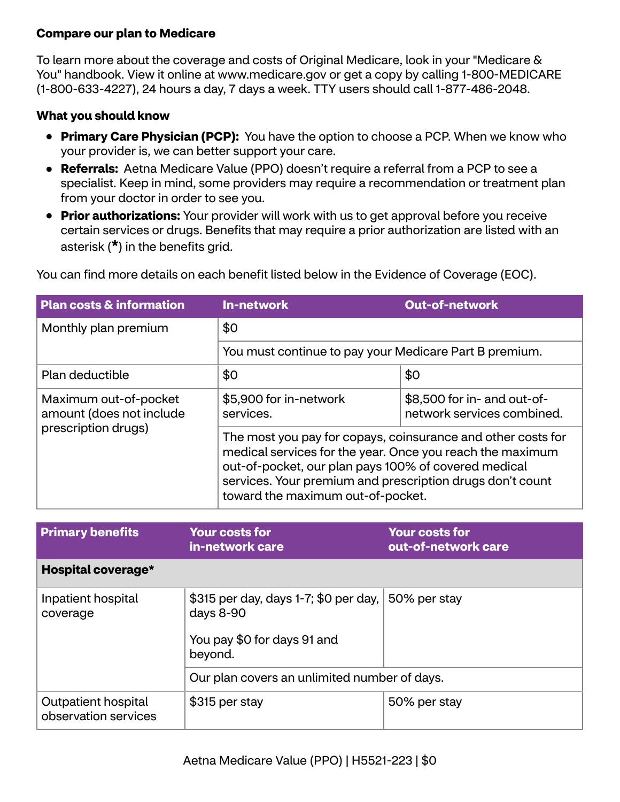## **Compare our plan to Medicare**

To learn more about the coverage and costs of Original Medicare, look in your "Medicare & You" handbook. View it online at<www.medicare.gov>or get a copy by calling 1-800-MEDICARE (1-800-633-4227), 24 hours a day, 7 days a week. TTY users should call 1-877-486-2048.

## **What you should know**

- **Primary Care Physician (PCP):** You have the option to choose a PCP. When we know who your provider is, we can better support your care.
- **Referrals:** Aetna Medicare Value (PPO) doesn't require a referral from a PCP to see a specialist. Keep in mind, some providers may require a recommendation or treatment plan from your doctor in order to see you.
- **Prior authorizations:** Your provider will work with us to get approval before you receive certain services or drugs. Benefits that may require a prior authorization are listed with an asterisk (**\***) in the benefits grid.

| <b>Plan costs &amp; information</b>               | In-network                                                                                                                                                                                                                                                                          | <b>Out-of-network</b>                                     |  |
|---------------------------------------------------|-------------------------------------------------------------------------------------------------------------------------------------------------------------------------------------------------------------------------------------------------------------------------------------|-----------------------------------------------------------|--|
| Monthly plan premium                              | \$0<br>You must continue to pay your Medicare Part B premium.                                                                                                                                                                                                                       |                                                           |  |
|                                                   |                                                                                                                                                                                                                                                                                     |                                                           |  |
| Plan deductible                                   | \$0<br>\$0                                                                                                                                                                                                                                                                          |                                                           |  |
| Maximum out-of-pocket<br>amount (does not include | \$5,900 for in-network<br>services.                                                                                                                                                                                                                                                 | \$8,500 for in- and out-of-<br>network services combined. |  |
| prescription drugs)                               | The most you pay for copays, coinsurance and other costs for<br>medical services for the year. Once you reach the maximum<br>out-of-pocket, our plan pays 100% of covered medical<br>services. Your premium and prescription drugs don't count<br>toward the maximum out-of-pocket. |                                                           |  |

You can find more details on each benefit listed below in the Evidence of Coverage (EOC).

| <b>Primary benefits</b>                     | <b>Your costs for</b><br>in-network care                                                         | <b>Your costs for</b><br>out-of-network care |
|---------------------------------------------|--------------------------------------------------------------------------------------------------|----------------------------------------------|
| Hospital coverage*                          |                                                                                                  |                                              |
| Inpatient hospital<br>coverage              | \$315 per day, days 1-7; \$0 per day, $ $<br>days 8-90<br>You pay \$0 for days 91 and<br>beyond. | 50% per stay                                 |
|                                             | Our plan covers an unlimited number of days.                                                     |                                              |
| Outpatient hospital<br>observation services | \$315 per stay                                                                                   | 50% per stay                                 |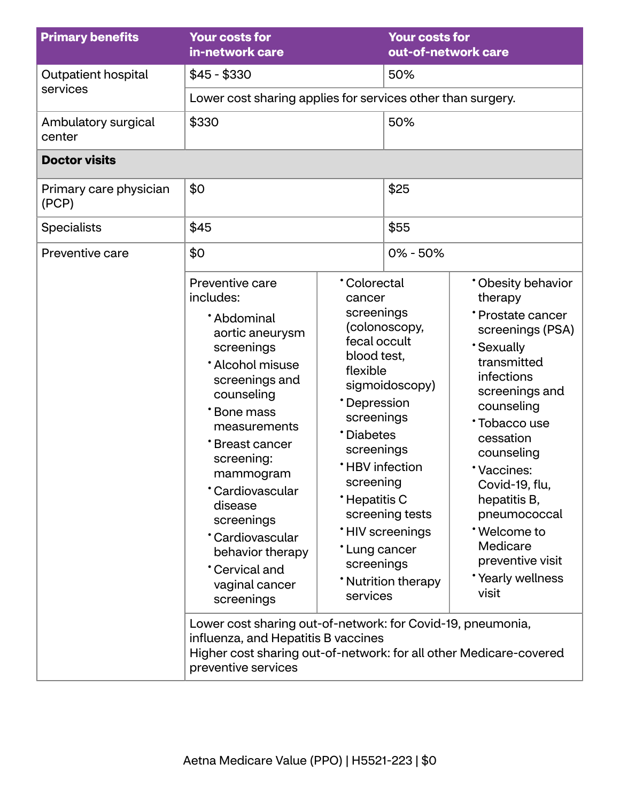| <b>Primary benefits</b>         | <b>Your costs for</b><br>in-network care                                                                                                                                                                                                                                                                                                                                                                                                                                                                                                                |                                                                                                                                                                                                                                              | <b>Your costs for</b><br>out-of-network care                                                        |                                                                                                                                                                                                                                                                                                                                               |
|---------------------------------|---------------------------------------------------------------------------------------------------------------------------------------------------------------------------------------------------------------------------------------------------------------------------------------------------------------------------------------------------------------------------------------------------------------------------------------------------------------------------------------------------------------------------------------------------------|----------------------------------------------------------------------------------------------------------------------------------------------------------------------------------------------------------------------------------------------|-----------------------------------------------------------------------------------------------------|-----------------------------------------------------------------------------------------------------------------------------------------------------------------------------------------------------------------------------------------------------------------------------------------------------------------------------------------------|
| Outpatient hospital             | $$45 - $330$                                                                                                                                                                                                                                                                                                                                                                                                                                                                                                                                            |                                                                                                                                                                                                                                              | 50%                                                                                                 |                                                                                                                                                                                                                                                                                                                                               |
| services                        | Lower cost sharing applies for services other than surgery.                                                                                                                                                                                                                                                                                                                                                                                                                                                                                             |                                                                                                                                                                                                                                              |                                                                                                     |                                                                                                                                                                                                                                                                                                                                               |
| Ambulatory surgical<br>center   | \$330                                                                                                                                                                                                                                                                                                                                                                                                                                                                                                                                                   |                                                                                                                                                                                                                                              | 50%                                                                                                 |                                                                                                                                                                                                                                                                                                                                               |
| <b>Doctor visits</b>            |                                                                                                                                                                                                                                                                                                                                                                                                                                                                                                                                                         |                                                                                                                                                                                                                                              |                                                                                                     |                                                                                                                                                                                                                                                                                                                                               |
| Primary care physician<br>(PCP) | \$0                                                                                                                                                                                                                                                                                                                                                                                                                                                                                                                                                     |                                                                                                                                                                                                                                              | \$25                                                                                                |                                                                                                                                                                                                                                                                                                                                               |
| <b>Specialists</b>              | \$45                                                                                                                                                                                                                                                                                                                                                                                                                                                                                                                                                    |                                                                                                                                                                                                                                              | \$55                                                                                                |                                                                                                                                                                                                                                                                                                                                               |
| Preventive care                 | \$0                                                                                                                                                                                                                                                                                                                                                                                                                                                                                                                                                     |                                                                                                                                                                                                                                              | $0\% - 50\%$                                                                                        |                                                                                                                                                                                                                                                                                                                                               |
|                                 | Preventive care<br>includes:<br>*Abdominal<br>aortic aneurysm<br>screenings<br>* Alcohol misuse<br>screenings and<br>counseling<br>*Bone mass<br>measurements<br>*Breast cancer<br>screening:<br>mammogram<br>*Cardiovascular<br>disease<br>screenings<br>*Cardiovascular<br>behavior therapy<br><b>Cervical and</b><br>vaginal cancer<br>screenings<br>Lower cost sharing out-of-network: for Covid-19, pneumonia,<br>influenza, and Hepatitis B vaccines<br>Higher cost sharing out-of-network: for all other Medicare-covered<br>preventive services | <b>Colorectal</b><br>cancer<br>screenings<br>fecal occult<br>blood test,<br>flexible<br>*Depression<br>screenings<br>*Diabetes<br>screenings<br><b>*HBV</b> infection<br>screening<br>*Hepatitis C<br>*Lung cancer<br>screenings<br>services | (colonoscopy,<br>sigmoidoscopy)<br>screening tests<br><b>'HIV</b> screenings<br>* Nutrition therapy | * Obesity behavior<br>therapy<br>* Prostate cancer<br>screenings (PSA)<br><b>Sexually</b><br>transmitted<br>infections<br>screenings and<br>counseling<br>*Tobacco use<br>cessation<br>counseling<br>*Vaccines:<br>Covid-19, flu,<br>hepatitis B,<br>pneumococcal<br>*Welcome to<br>Medicare<br>preventive visit<br>*Yearly wellness<br>visit |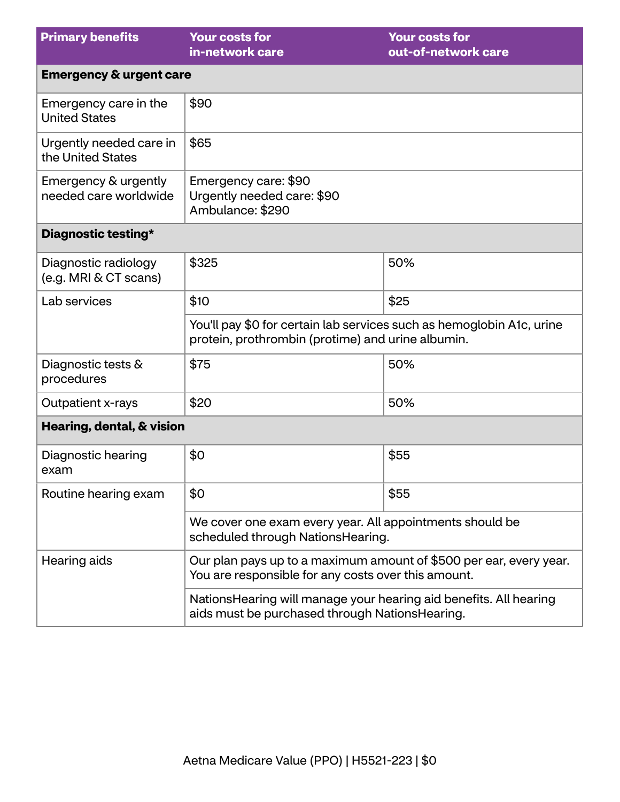| <b>Primary benefits</b>                       | <b>Your costs for</b><br>in-network care                                                                                   | <b>Your costs for</b><br>out-of-network care |  |
|-----------------------------------------------|----------------------------------------------------------------------------------------------------------------------------|----------------------------------------------|--|
| <b>Emergency &amp; urgent care</b>            |                                                                                                                            |                                              |  |
| Emergency care in the<br><b>United States</b> | \$90                                                                                                                       |                                              |  |
| Urgently needed care in<br>the United States  | \$65                                                                                                                       |                                              |  |
| Emergency & urgently<br>needed care worldwide | Emergency care: \$90<br>Urgently needed care: \$90<br>Ambulance: \$290                                                     |                                              |  |
| Diagnostic testing*                           |                                                                                                                            |                                              |  |
| Diagnostic radiology<br>(e.g. MRI & CT scans) | \$325                                                                                                                      | 50%                                          |  |
| Lab services                                  | \$10<br>\$25                                                                                                               |                                              |  |
|                                               | You'll pay \$0 for certain lab services such as hemoglobin A1c, urine<br>protein, prothrombin (protime) and urine albumin. |                                              |  |
| Diagnostic tests &<br>procedures              | \$75                                                                                                                       | 50%                                          |  |
| Outpatient x-rays                             | \$20                                                                                                                       | 50%                                          |  |
| Hearing, dental, & vision                     |                                                                                                                            |                                              |  |
| Diagnostic hearing<br>exam                    | \$0                                                                                                                        | \$55                                         |  |
| Routine hearing exam                          | \$0                                                                                                                        | \$55                                         |  |
|                                               | We cover one exam every year. All appointments should be<br>scheduled through NationsHearing.                              |                                              |  |
| Hearing aids                                  | Our plan pays up to a maximum amount of \$500 per ear, every year.<br>You are responsible for any costs over this amount.  |                                              |  |
|                                               | Nations Hearing will manage your hearing aid benefits. All hearing<br>aids must be purchased through NationsHearing.       |                                              |  |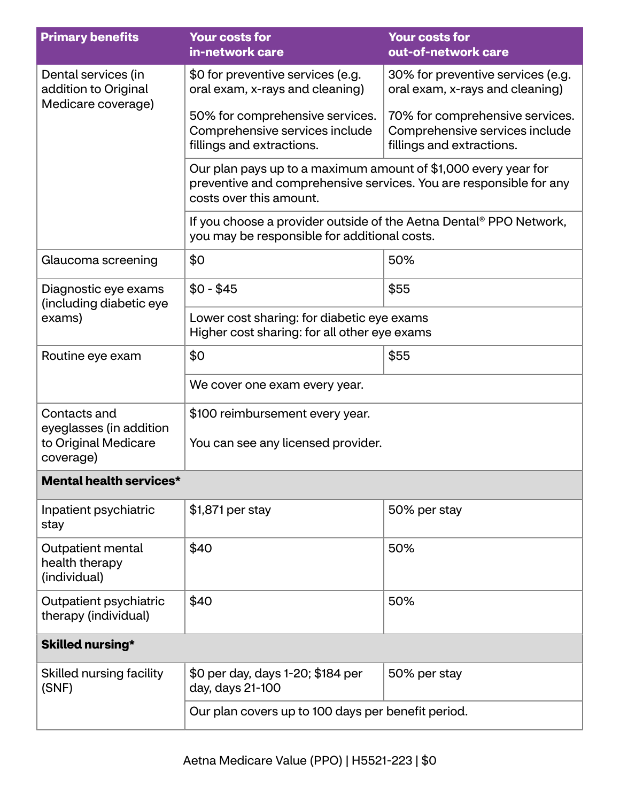| <b>Primary benefits</b>                                                      | <b>Your costs for</b><br>in-network care                                                                                                                        | <b>Your costs for</b><br>out-of-network care                                                   |  |
|------------------------------------------------------------------------------|-----------------------------------------------------------------------------------------------------------------------------------------------------------------|------------------------------------------------------------------------------------------------|--|
| Dental services (in<br>addition to Original<br>Medicare coverage)            | \$0 for preventive services (e.g.<br>oral exam, x-rays and cleaning)                                                                                            | 30% for preventive services (e.g.<br>oral exam, x-rays and cleaning)                           |  |
|                                                                              | 50% for comprehensive services.<br>Comprehensive services include<br>fillings and extractions.                                                                  | 70% for comprehensive services.<br>Comprehensive services include<br>fillings and extractions. |  |
|                                                                              | Our plan pays up to a maximum amount of \$1,000 every year for<br>preventive and comprehensive services. You are responsible for any<br>costs over this amount. |                                                                                                |  |
|                                                                              | If you choose a provider outside of the Aetna Dental® PPO Network,<br>you may be responsible for additional costs.                                              |                                                                                                |  |
| Glaucoma screening                                                           | \$0                                                                                                                                                             | 50%                                                                                            |  |
| Diagnostic eye exams<br>(including diabetic eye                              | $$0 - $45$                                                                                                                                                      | \$55                                                                                           |  |
| exams)                                                                       | Lower cost sharing: for diabetic eye exams<br>Higher cost sharing: for all other eye exams                                                                      |                                                                                                |  |
| Routine eye exam                                                             | \$0                                                                                                                                                             | \$55                                                                                           |  |
|                                                                              | We cover one exam every year.                                                                                                                                   |                                                                                                |  |
| Contacts and<br>eyeglasses (in addition<br>to Original Medicare<br>coverage) | \$100 reimbursement every year.<br>You can see any licensed provider.                                                                                           |                                                                                                |  |
| <b>Mental health services*</b>                                               |                                                                                                                                                                 |                                                                                                |  |
| Inpatient psychiatric<br>stay                                                | \$1,871 per stay                                                                                                                                                | 50% per stay                                                                                   |  |
| Outpatient mental<br>health therapy<br>(individual)                          | \$40                                                                                                                                                            | 50%                                                                                            |  |
| Outpatient psychiatric<br>therapy (individual)                               | \$40                                                                                                                                                            | 50%                                                                                            |  |
| <b>Skilled nursing*</b>                                                      |                                                                                                                                                                 |                                                                                                |  |
| Skilled nursing facility<br>(SNF)                                            | \$0 per day, days 1-20; \$184 per<br>day, days 21-100                                                                                                           | 50% per stay                                                                                   |  |
|                                                                              | Our plan covers up to 100 days per benefit period.                                                                                                              |                                                                                                |  |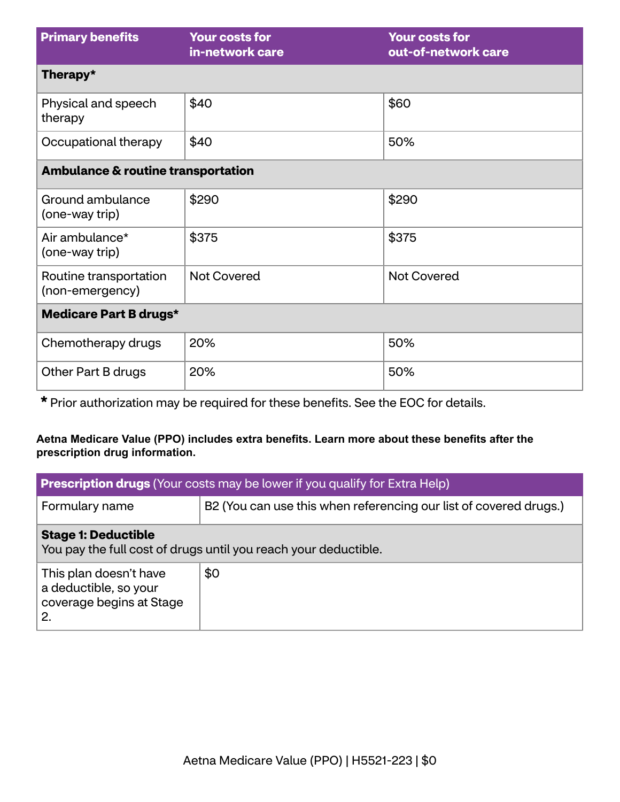| <b>Primary benefits</b>                       | <b>Your costs for</b><br>in-network care | <b>Your costs for</b><br>out-of-network care |  |
|-----------------------------------------------|------------------------------------------|----------------------------------------------|--|
| Therapy*                                      |                                          |                                              |  |
| Physical and speech<br>therapy                | \$40                                     | \$60                                         |  |
| Occupational therapy                          | \$40                                     | 50%                                          |  |
| <b>Ambulance &amp; routine transportation</b> |                                          |                                              |  |
| Ground ambulance<br>(one-way trip)            | \$290                                    | \$290                                        |  |
| Air ambulance*<br>(one-way trip)              | \$375                                    | \$375                                        |  |
| Routine transportation<br>(non-emergency)     | <b>Not Covered</b>                       | <b>Not Covered</b>                           |  |
| <b>Medicare Part B drugs*</b>                 |                                          |                                              |  |
| Chemotherapy drugs                            | 20%                                      | 50%                                          |  |
| Other Part B drugs                            | 20%                                      | 50%                                          |  |

**\*** Prior authorization may be required for these benefits. See the EOC for details.

### **Aetna Medicare Value (PPO) includes extra benefits. Learn more about these benefits after the prescription drug information.**

| <b>Prescription drugs</b> (Your costs may be lower if you qualify for Extra Help)             |                                                                   |  |  |
|-----------------------------------------------------------------------------------------------|-------------------------------------------------------------------|--|--|
| Formulary name                                                                                | B2 (You can use this when referencing our list of covered drugs.) |  |  |
| <b>Stage 1: Deductible</b><br>You pay the full cost of drugs until you reach your deductible. |                                                                   |  |  |
| This plan doesn't have<br>a deductible, so your<br>coverage begins at Stage<br>2.             | \$0                                                               |  |  |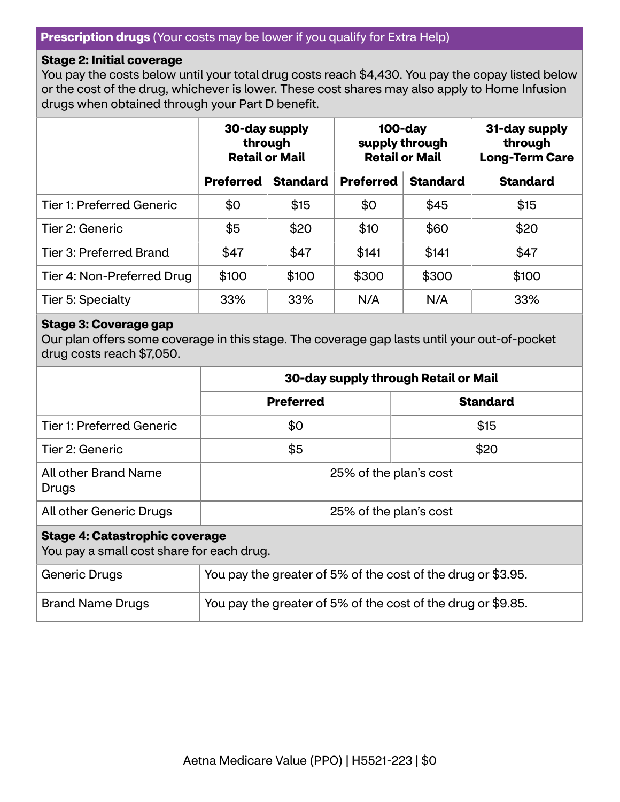### **Prescription drugs** (Your costs may be lower if you qualify for Extra Help)

#### **Stage 2: Initial coverage**

You pay the costs below until your total drug costs reach \$4,430. You pay the copay listed below or the cost of the drug, whichever is lower. These cost shares may also apply to Home Infusion drugs when obtained through your Part D benefit.

|                                  | 30-day supply<br>through<br><b>Retail or Mail</b> |                 | $100$ -day<br>supply through<br><b>Retail or Mail</b> |                 | 31-day supply<br>through<br><b>Long-Term Care</b> |
|----------------------------------|---------------------------------------------------|-----------------|-------------------------------------------------------|-----------------|---------------------------------------------------|
|                                  | <b>Preferred</b>                                  | <b>Standard</b> | <b>Preferred</b>                                      | <b>Standard</b> | <b>Standard</b>                                   |
| <b>Tier 1: Preferred Generic</b> | \$0                                               | \$15            | \$0                                                   | \$45            | \$15                                              |
| Tier 2: Generic                  | \$5                                               | \$20            | \$10                                                  | \$60            | \$20                                              |
| Tier 3: Preferred Brand          | \$47                                              | \$47            | \$141                                                 | \$141           | \$47                                              |
| Tier 4: Non-Preferred Drug       | \$100                                             | \$100           | \$300                                                 | \$300           | \$100                                             |
| Tier 5: Specialty                | 33%                                               | 33%             | N/A                                                   | N/A             | 33%                                               |

#### **Stage 3: Coverage gap**

Our plan offers some coverage in this stage. The coverage gap lasts until your out-of-pocket drug costs reach \$7,050.

|                                                                                    | 30-day supply through Retail or Mail                         |                 |  |
|------------------------------------------------------------------------------------|--------------------------------------------------------------|-----------------|--|
|                                                                                    | <b>Preferred</b>                                             | <b>Standard</b> |  |
| <b>Tier 1: Preferred Generic</b>                                                   | \$0                                                          | \$15            |  |
| Tier 2: Generic                                                                    | \$5                                                          | \$20            |  |
| All other Brand Name<br>Drugs                                                      | 25% of the plan's cost                                       |                 |  |
| All other Generic Drugs                                                            | 25% of the plan's cost                                       |                 |  |
| <b>Stage 4: Catastrophic coverage</b><br>You pay a small cost share for each drug. |                                                              |                 |  |
| Generic Drugs                                                                      | You pay the greater of 5% of the cost of the drug or \$3.95. |                 |  |

Brand Name Drugs  $\vert$  You pay the greater of 5% of the cost of the drug or \$9.85.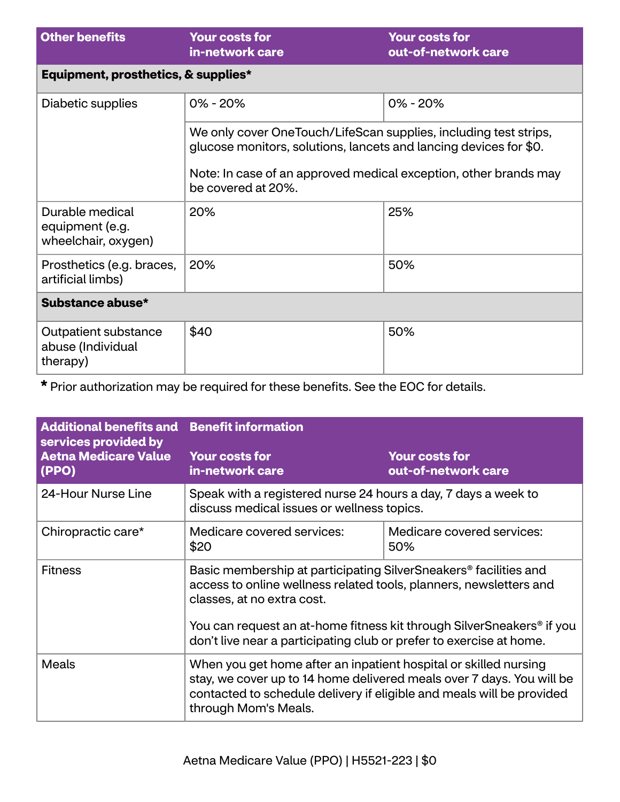| <b>Other benefits</b>                                     | <b>Your costs for</b><br>in-network care                                                                                                                                                                                        | <b>Your costs for</b><br>out-of-network care |  |
|-----------------------------------------------------------|---------------------------------------------------------------------------------------------------------------------------------------------------------------------------------------------------------------------------------|----------------------------------------------|--|
| Equipment, prosthetics, & supplies*                       |                                                                                                                                                                                                                                 |                                              |  |
| Diabetic supplies                                         | $0\% - 20\%$                                                                                                                                                                                                                    | $0\% - 20\%$                                 |  |
|                                                           | We only cover OneTouch/LifeScan supplies, including test strips,<br>glucose monitors, solutions, lancets and lancing devices for \$0.<br>Note: In case of an approved medical exception, other brands may<br>be covered at 20%. |                                              |  |
| Durable medical<br>equipment (e.g.<br>wheelchair, oxygen) | 20%                                                                                                                                                                                                                             | 25%                                          |  |
| Prosthetics (e.g. braces,<br>artificial limbs)            | 20%                                                                                                                                                                                                                             | 50%                                          |  |
| Substance abuse*                                          |                                                                                                                                                                                                                                 |                                              |  |
| Outpatient substance<br>abuse (Individual<br>therapy)     | \$40                                                                                                                                                                                                                            | 50%                                          |  |

**\*** Prior authorization may be required for these benefits. See the EOC for details.

| <b>Additional benefits and Benefit information</b><br>services provided by |                                                                                                                                                                                                                                                                                                                      |                                              |  |
|----------------------------------------------------------------------------|----------------------------------------------------------------------------------------------------------------------------------------------------------------------------------------------------------------------------------------------------------------------------------------------------------------------|----------------------------------------------|--|
| <b>Aetna Medicare Value</b><br>(PPO)                                       | <b>Your costs for</b><br>in-network care                                                                                                                                                                                                                                                                             | <b>Your costs for</b><br>out-of-network care |  |
| 24-Hour Nurse Line                                                         | Speak with a registered nurse 24 hours a day, 7 days a week to<br>discuss medical issues or wellness topics.                                                                                                                                                                                                         |                                              |  |
| Chiropractic care*                                                         | Medicare covered services:<br>\$20                                                                                                                                                                                                                                                                                   | Medicare covered services:<br>50%            |  |
| <b>Fitness</b>                                                             | Basic membership at participating SilverSneakers® facilities and<br>access to online wellness related tools, planners, newsletters and<br>classes, at no extra cost.<br>You can request an at-home fitness kit through SilverSneakers® if you<br>don't live near a participating club or prefer to exercise at home. |                                              |  |
|                                                                            |                                                                                                                                                                                                                                                                                                                      |                                              |  |
| <b>Meals</b>                                                               | When you get home after an inpatient hospital or skilled nursing<br>stay, we cover up to 14 home delivered meals over 7 days. You will be<br>contacted to schedule delivery if eligible and meals will be provided<br>through Mom's Meals.                                                                           |                                              |  |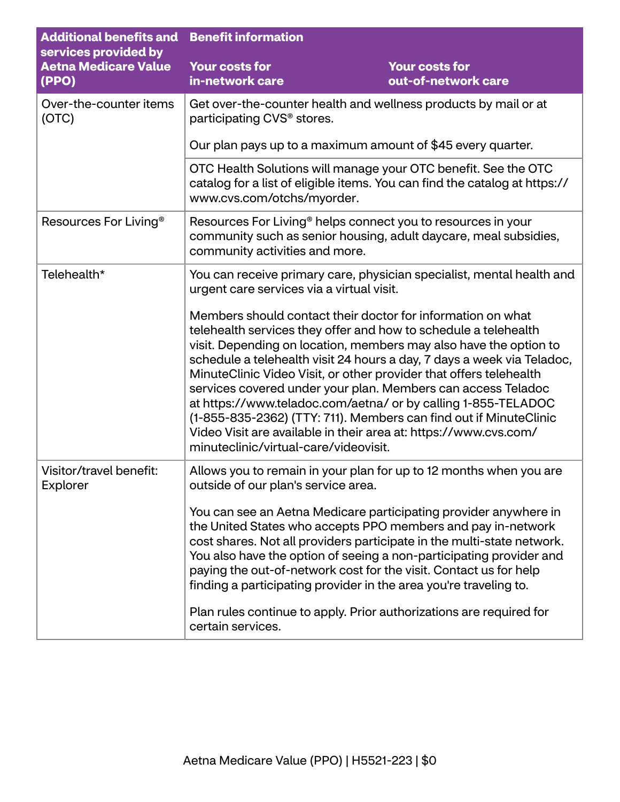| <b>Additional benefits and</b><br>services provided by | <b>Benefit information</b>                                                                                                                                                     |                                                                                                                                                                                                                                                                                                                                                                                                                                                                                                                                                                                                                               |  |
|--------------------------------------------------------|--------------------------------------------------------------------------------------------------------------------------------------------------------------------------------|-------------------------------------------------------------------------------------------------------------------------------------------------------------------------------------------------------------------------------------------------------------------------------------------------------------------------------------------------------------------------------------------------------------------------------------------------------------------------------------------------------------------------------------------------------------------------------------------------------------------------------|--|
| <b>Aetna Medicare Value</b><br>(PPO)                   | <b>Your costs for</b><br>in-network care                                                                                                                                       | <b>Your costs for</b><br>out-of-network care                                                                                                                                                                                                                                                                                                                                                                                                                                                                                                                                                                                  |  |
| Over-the-counter items<br>(OTC)                        | participating CVS <sup>®</sup> stores.                                                                                                                                         | Get over-the-counter health and wellness products by mail or at                                                                                                                                                                                                                                                                                                                                                                                                                                                                                                                                                               |  |
|                                                        |                                                                                                                                                                                | Our plan pays up to a maximum amount of \$45 every quarter.                                                                                                                                                                                                                                                                                                                                                                                                                                                                                                                                                                   |  |
|                                                        | OTC Health Solutions will manage your OTC benefit. See the OTC<br>catalog for a list of eligible items. You can find the catalog at https://<br>www.cvs.com/otchs/myorder.     |                                                                                                                                                                                                                                                                                                                                                                                                                                                                                                                                                                                                                               |  |
| Resources For Living <sup>®</sup>                      | Resources For Living <sup>®</sup> helps connect you to resources in your<br>community such as senior housing, adult daycare, meal subsidies,<br>community activities and more. |                                                                                                                                                                                                                                                                                                                                                                                                                                                                                                                                                                                                                               |  |
| Telehealth*                                            | You can receive primary care, physician specialist, mental health and<br>urgent care services via a virtual visit.                                                             |                                                                                                                                                                                                                                                                                                                                                                                                                                                                                                                                                                                                                               |  |
|                                                        | minuteclinic/virtual-care/videovisit.                                                                                                                                          | Members should contact their doctor for information on what<br>telehealth services they offer and how to schedule a telehealth<br>visit. Depending on location, members may also have the option to<br>schedule a telehealth visit 24 hours a day, 7 days a week via Teladoc,<br>MinuteClinic Video Visit, or other provider that offers telehealth<br>services covered under your plan. Members can access Teladoc<br>at https://www.teladoc.com/aetna/ or by calling 1-855-TELADOC<br>(1-855-835-2362) (TTY: 711). Members can find out if MinuteClinic<br>Video Visit are available in their area at: https://www.cvs.com/ |  |
| Visitor/travel benefit:<br>Explorer                    | outside of our plan's service area.                                                                                                                                            | Allows you to remain in your plan for up to 12 months when you are                                                                                                                                                                                                                                                                                                                                                                                                                                                                                                                                                            |  |
|                                                        |                                                                                                                                                                                | You can see an Aetna Medicare participating provider anywhere in<br>the United States who accepts PPO members and pay in-network<br>cost shares. Not all providers participate in the multi-state network.<br>You also have the option of seeing a non-participating provider and<br>paying the out-of-network cost for the visit. Contact us for help<br>finding a participating provider in the area you're traveling to.                                                                                                                                                                                                   |  |
|                                                        | Plan rules continue to apply. Prior authorizations are required for<br>certain services.                                                                                       |                                                                                                                                                                                                                                                                                                                                                                                                                                                                                                                                                                                                                               |  |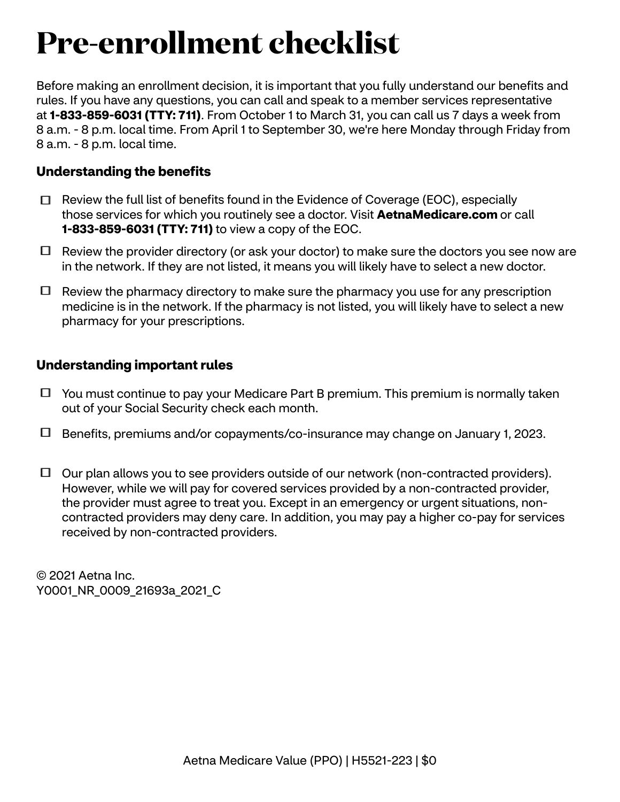# **Pre-enrollment checklist**

Before making an enrollment decision, it is important that you fully understand our benefits and rules. If you have any questions, you can call and speak to a member services representative at **1-833-859-6031 (TTY: 711)**. From October 1 to March 31, you can call us 7 days a week from 8 a.m. - 8 p.m. local time. From April 1 to September 30, we're here Monday through Friday from 8 a.m. - 8 p.m. local time.

# **Understanding the benefits**

- $\Box$  Review the full list of benefits found in the Evidence of Coverage (EOC), especially those services for which you routinely see a doctor. Visit **[AetnaMedicare.com](http://AetnaMedicare.com)** or call **1-833-859-6031 (TTY: 711)** to view a copy of the EOC.
- $\Box$  Review the provider directory (or ask your doctor) to make sure the doctors you see now are in the network. If they are not listed, it means you will likely have to select a new doctor.
- $\Box$  Review the pharmacy directory to make sure the pharmacy you use for any prescription medicine is in the network. If the pharmacy is not listed, you will likely have to select a new pharmacy for your prescriptions.

# **Understanding important rules**

- $\Box$  You must continue to pay your Medicare Part B premium. This premium is normally taken out of your Social Security check each month.
- Benefits, premiums and/or copayments/co-insurance may change on January 1, 2023.
- $\Box$  Our plan allows you to see providers outside of our network (non-contracted providers). However, while we will pay for covered services provided by a non-contracted provider, the provider must agree to treat you. Except in an emergency or urgent situations, noncontracted providers may deny care. In addition, you may pay a higher co-pay for services received by non-contracted providers.

© 2021 Aetna Inc. Y0001 NR 0009 21693a 2021 C